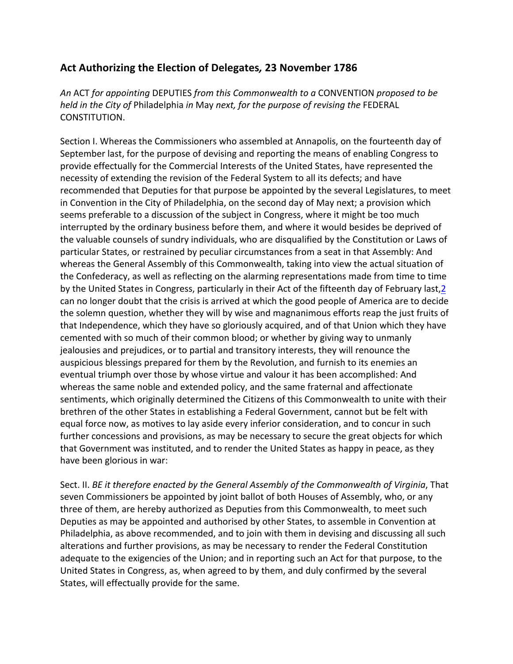## Act Authorizing the Election of Delegates, 23 November 1786

An ACT for appointing DEPUTIES from this Commonwealth to a CONVENTION proposed to be held in the City of Philadelphia in May next, for the purpose of revising the FEDERAL CONSTITUTION.

Section I. Whereas the Commissioners who assembled at Annapolis, on the fourteenth day of September last, for the purpose of devising and reporting the means of enabling Congress to provide effectually for the Commercial Interests of the United States, have represented the necessity of extending the revision of the Federal System to all its defects; and have recommended that Deputies for that purpose be appointed by the several Legislatures, to meet in Convention in the City of Philadelphia, on the second day of May next; a provision which seems preferable to a discussion of the subject in Congress, where it might be too much interrupted by the ordinary business before them, and where it would besides be deprived of the valuable counsels of sundry individuals, who are disqualified by the Constitution or Laws of particular States, or restrained by peculiar circumstances from a seat in that Assembly: And whereas the General Assembly of this Commonwealth, taking into view the actual situation of the Confederacy, as well as reflecting on the alarming representations made from time to time by the United States in Congress, particularly in their Act of the fifteenth day of February last, 2 can no longer doubt that the crisis is arrived at which the good people of America are to decide the solemn question, whether they will by wise and magnanimous efforts reap the just fruits of that Independence, which they have so gloriously acquired, and of that Union which they have cemented with so much of their common blood; or whether by giving way to unmanly jealousies and prejudices, or to partial and transitory interests, they will renounce the auspicious blessings prepared for them by the Revolution, and furnish to its enemies an eventual triumph over those by whose virtue and valour it has been accomplished: And whereas the same noble and extended policy, and the same fraternal and affectionate sentiments, which originally determined the Citizens of this Commonwealth to unite with their brethren of the other States in establishing a Federal Government, cannot but be felt with equal force now, as motives to lay aside every inferior consideration, and to concur in such further concessions and provisions, as may be necessary to secure the great objects for which that Government was instituted, and to render the United States as happy in peace, as they have been glorious in war:

Sect. II. BE it therefore enacted by the General Assembly of the Commonwealth of Virginia, That seven Commissioners be appointed by joint ballot of both Houses of Assembly, who, or any three of them, are hereby authorized as Deputies from this Commonwealth, to meet such Deputies as may be appointed and authorised by other States, to assemble in Convention at Philadelphia, as above recommended, and to join with them in devising and discussing all such alterations and further provisions, as may be necessary to render the Federal Constitution adequate to the exigencies of the Union; and in reporting such an Act for that purpose, to the United States in Congress, as, when agreed to by them, and duly confirmed by the several States, will effectually provide for the same.